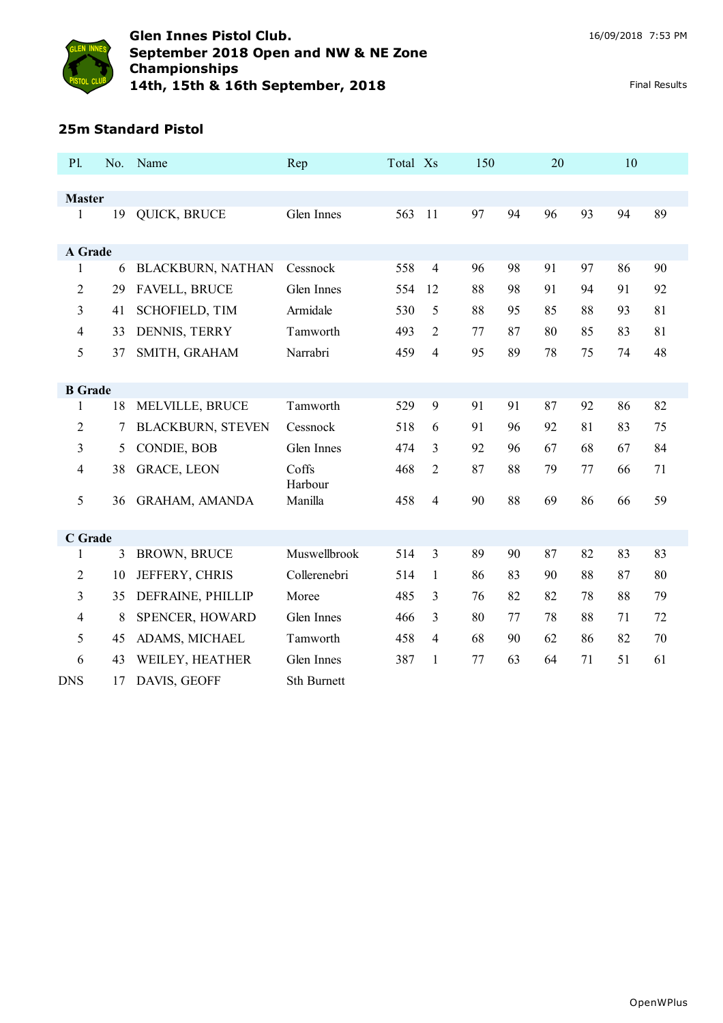

# **25m Standard Pistol**

| P1.                      | No. | Name                     | Rep              | Total Xs |                | 150 |    | 20 |    | 10 |    |
|--------------------------|-----|--------------------------|------------------|----------|----------------|-----|----|----|----|----|----|
|                          |     |                          |                  |          |                |     |    |    |    |    |    |
| <b>Master</b><br>1       | 19  | QUICK, BRUCE             | Glen Innes       | 563      | 11             | 97  | 94 | 96 | 93 | 94 | 89 |
| A Grade                  |     |                          |                  |          |                |     |    |    |    |    |    |
| $\mathbf{1}$             | 6   | <b>BLACKBURN, NATHAN</b> | Cessnock         | 558      | $\overline{4}$ | 96  | 98 | 91 | 97 | 86 | 90 |
| $\overline{2}$           | 29  | <b>FAVELL, BRUCE</b>     | Glen Innes       | 554      | 12             | 88  | 98 | 91 | 94 | 91 | 92 |
| 3                        | 41  | <b>SCHOFIELD, TIM</b>    | Armidale         | 530      | 5              | 88  | 95 | 85 | 88 | 93 | 81 |
| $\overline{\mathcal{A}}$ | 33  | DENNIS, TERRY            | Tamworth         | 493      | $\overline{2}$ | 77  | 87 | 80 | 85 | 83 | 81 |
| 5                        | 37  | SMITH, GRAHAM            | Narrabri         | 459      | $\overline{4}$ | 95  | 89 | 78 | 75 | 74 | 48 |
| <b>B</b> Grade           |     |                          |                  |          |                |     |    |    |    |    |    |
| 1                        | 18  | MELVILLE, BRUCE          | Tamworth         | 529      | 9              | 91  | 91 | 87 | 92 | 86 | 82 |
| $\overline{2}$           | 7   | <b>BLACKBURN, STEVEN</b> | Cessnock         | 518      | 6              | 91  | 96 | 92 | 81 | 83 | 75 |
| 3                        | 5   | CONDIE, BOB              | Glen Innes       | 474      | 3              | 92  | 96 | 67 | 68 | 67 | 84 |
| 4                        | 38  | <b>GRACE, LEON</b>       | Coffs<br>Harbour | 468      | $\overline{2}$ | 87  | 88 | 79 | 77 | 66 | 71 |
| 5                        | 36  | <b>GRAHAM, AMANDA</b>    | Manilla          | 458      | $\overline{4}$ | 90  | 88 | 69 | 86 | 66 | 59 |
| C Grade                  |     |                          |                  |          |                |     |    |    |    |    |    |
| 1                        | 3   | <b>BROWN, BRUCE</b>      | Muswellbrook     | 514      | $\overline{3}$ | 89  | 90 | 87 | 82 | 83 | 83 |
| $\overline{2}$           | 10  | JEFFERY, CHRIS           | Collerenebri     | 514      | 1              | 86  | 83 | 90 | 88 | 87 | 80 |
| 3                        | 35  | DEFRAINE, PHILLIP        | Moree            | 485      | 3              | 76  | 82 | 82 | 78 | 88 | 79 |
| 4                        | 8   | SPENCER, HOWARD          | Glen Innes       | 466      | $\overline{3}$ | 80  | 77 | 78 | 88 | 71 | 72 |
| 5                        | 45  | ADAMS, MICHAEL           | Tamworth         | 458      | 4              | 68  | 90 | 62 | 86 | 82 | 70 |
| 6                        | 43  | WEILEY, HEATHER          | Glen Innes       | 387      | 1              | 77  | 63 | 64 | 71 | 51 | 61 |
| <b>DNS</b>               | 17  | DAVIS, GEOFF             | Sth Burnett      |          |                |     |    |    |    |    |    |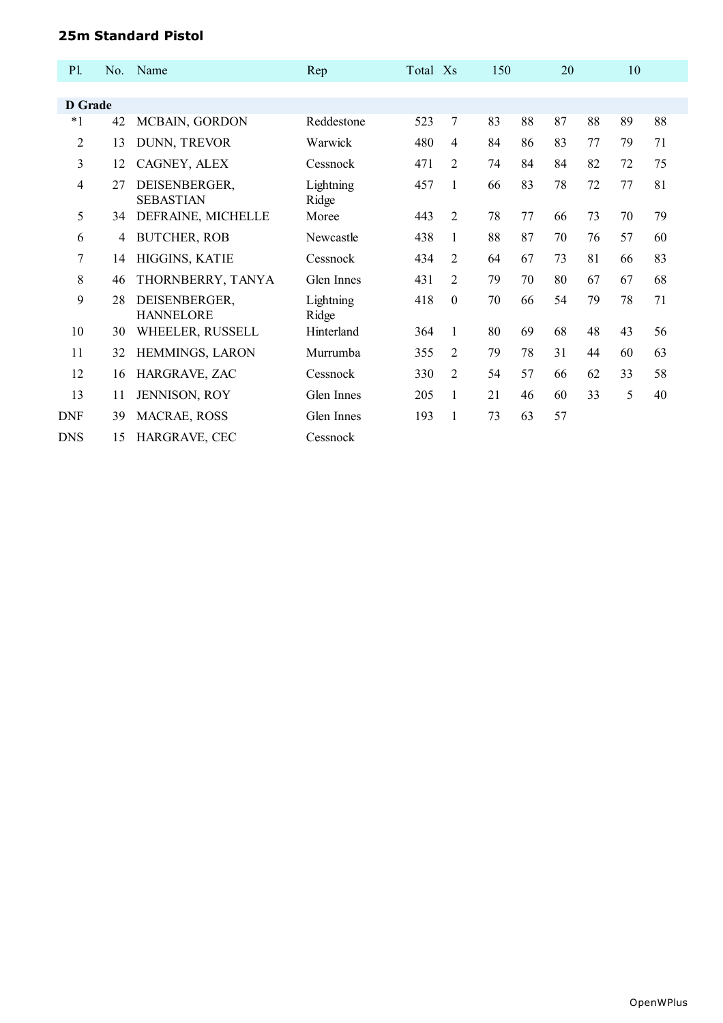## **25m Standard Pistol**

| P1.            | No. | Name                              | Rep                | Total Xs |                | 150 |    | 20 |    | 10 |    |  |
|----------------|-----|-----------------------------------|--------------------|----------|----------------|-----|----|----|----|----|----|--|
|                |     |                                   |                    |          |                |     |    |    |    |    |    |  |
| D Grade        |     |                                   |                    |          |                |     |    |    |    |    |    |  |
| $*1$           | 42  | MCBAIN, GORDON                    | Reddestone         | 523      | $\overline{7}$ | 83  | 88 | 87 | 88 | 89 | 88 |  |
| 2              | 13  | DUNN, TREVOR                      | Warwick            | 480      | $\overline{4}$ | 84  | 86 | 83 | 77 | 79 | 71 |  |
| 3              | 12  | CAGNEY, ALEX                      | Cessnock           | 471      | $\mathfrak{D}$ | 74  | 84 | 84 | 82 | 72 | 75 |  |
| 4              | 27  | DEISENBERGER,<br><b>SEBASTIAN</b> | Lightning<br>Ridge | 457      | 1              | 66  | 83 | 78 | 72 | 77 | 81 |  |
| 5              | 34  | DEFRAINE, MICHELLE                | Moree              | 443      | $\mathfrak{D}$ | 78  | 77 | 66 | 73 | 70 | 79 |  |
| 6              | 4   | <b>BUTCHER, ROB</b>               | Newcastle          | 438      | 1              | 88  | 87 | 70 | 76 | 57 | 60 |  |
| $\overline{7}$ | 14  | HIGGINS, KATIE                    | Cessnock           | 434      | $\overline{2}$ | 64  | 67 | 73 | 81 | 66 | 83 |  |
| 8              | 46  | THORNBERRY, TANYA                 | Glen Innes         | 431      | $\overline{2}$ | 79  | 70 | 80 | 67 | 67 | 68 |  |
| 9              | 28  | DEISENBERGER,<br><b>HANNELORE</b> | Lightning<br>Ridge | 418      | $\mathbf{0}$   | 70  | 66 | 54 | 79 | 78 | 71 |  |
| 10             | 30  | WHEELER, RUSSELL                  | Hinterland         | 364      | 1              | 80  | 69 | 68 | 48 | 43 | 56 |  |
| 11             | 32  | HEMMINGS, LARON                   | Murrumba           | 355      | $\overline{2}$ | 79  | 78 | 31 | 44 | 60 | 63 |  |
| 12             | 16  | HARGRAVE, ZAC                     | Cessnock           | 330      | $\overline{2}$ | 54  | 57 | 66 | 62 | 33 | 58 |  |
| 13             | 11  | <b>JENNISON, ROY</b>              | Glen Innes         | 205      | 1              | 21  | 46 | 60 | 33 | 5  | 40 |  |
| <b>DNF</b>     | 39  | MACRAE, ROSS                      | Glen Innes         | 193      | 1              | 73  | 63 | 57 |    |    |    |  |
| <b>DNS</b>     | 15  | HARGRAVE, CEC                     | Cessnock           |          |                |     |    |    |    |    |    |  |
|                |     |                                   |                    |          |                |     |    |    |    |    |    |  |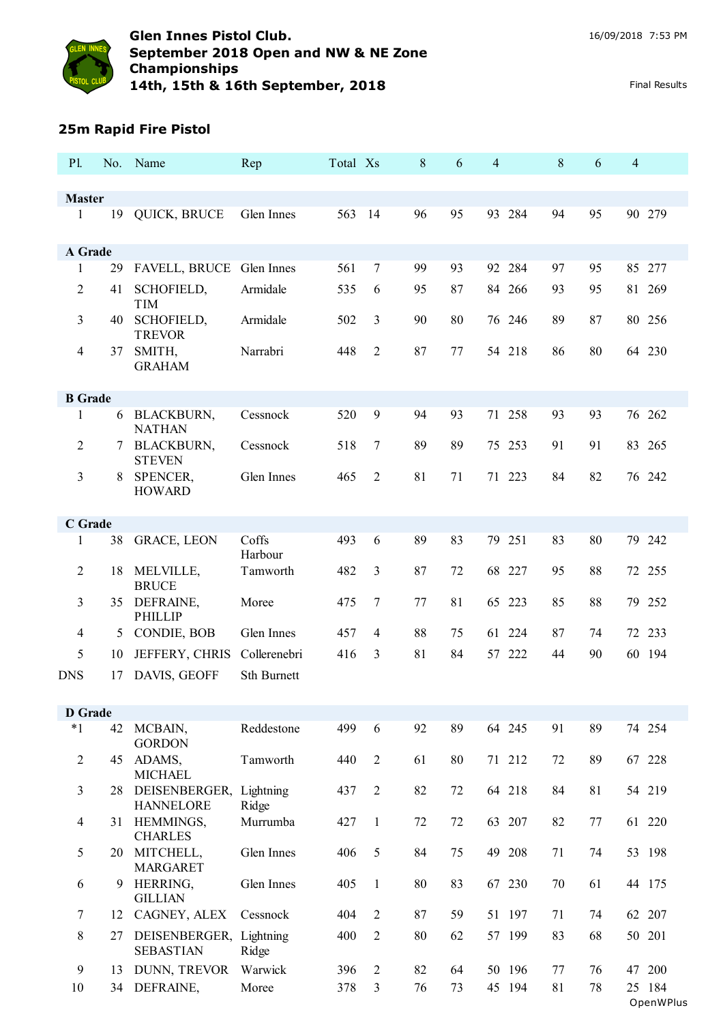

## **25m Rapid Fire Pistol**

| P1.            | No.    | Name                                        | Rep                | Total Xs |                  | 8  | 6  | 4      | $8\,$ | 6       | $\overline{4}$ |                     |
|----------------|--------|---------------------------------------------|--------------------|----------|------------------|----|----|--------|-------|---------|----------------|---------------------|
| <b>Master</b>  |        |                                             |                    |          |                  |    |    |        |       |         |                |                     |
| 1              | 19     | QUICK, BRUCE                                | Glen Innes         | 563      | 14               | 96 | 95 | 93 284 | 94    | 95      |                | 90 279              |
|                |        |                                             |                    |          |                  |    |    |        |       |         |                |                     |
| A Grade        | 29     |                                             |                    | 561      | $\boldsymbol{7}$ | 99 | 93 | 92 284 | 97    | 95      |                | 85 277              |
| 1              |        | FAVELL, BRUCE Glen Innes                    |                    |          |                  |    |    |        |       |         |                |                     |
| 2              | 41     | SCHOFIELD,<br><b>TIM</b>                    | Armidale           | 535      | 6                | 95 | 87 | 84 266 | 93    | 95      |                | 81 269              |
| 3              | 40     | SCHOFIELD,<br><b>TREVOR</b>                 | Armidale           | 502      | 3                | 90 | 80 | 76 246 | 89    | 87      |                | 80 256              |
| 4              | 37     | SMITH,<br><b>GRAHAM</b>                     | Narrabri           | 448      | $\overline{2}$   | 87 | 77 | 54 218 | 86    | 80      |                | 64 230              |
| <b>B</b> Grade |        |                                             |                    |          |                  |    |    |        |       |         |                |                     |
| 1              | 6      | <b>BLACKBURN,</b><br><b>NATHAN</b>          | Cessnock           | 520      | 9                | 94 | 93 | 71 258 | 93    | 93      |                | 76 262              |
| 2              | $\tau$ | <b>BLACKBURN,</b><br><b>STEVEN</b>          | Cessnock           | 518      | 7                | 89 | 89 | 75 253 | 91    | 91      |                | 83 265              |
| 3              | 8      | SPENCER,<br><b>HOWARD</b>                   | Glen Innes         | 465      | $\overline{2}$   | 81 | 71 | 71 223 | 84    | 82      |                | 76 242              |
| C Grade        |        |                                             |                    |          |                  |    |    |        |       |         |                |                     |
| 1              | 38     | <b>GRACE, LEON</b>                          | Coffs<br>Harbour   | 493      | 6                | 89 | 83 | 79 251 | 83    | 80      |                | 79 242              |
| $\overline{2}$ | 18     | MELVILLE,<br><b>BRUCE</b>                   | Tamworth           | 482      | 3                | 87 | 72 | 68 227 | 95    | 88      |                | 72 255              |
| 3              | 35     | DEFRAINE,<br><b>PHILLIP</b>                 | Moree              | 475      | $\tau$           | 77 | 81 | 65 223 | 85    | 88      |                | 79 252              |
| 4              | 5      | CONDIE, BOB                                 | Glen Innes         | 457      | 4                | 88 | 75 | 61 224 | 87    | 74      |                | 72 233              |
| 5              | 10     | JEFFERY, CHRIS                              | Collerenebri       | 416      | $\overline{3}$   | 81 | 84 | 57 222 | 44    | 90      |                | 60 194              |
| <b>DNS</b>     | 17     | DAVIS, GEOFF                                | Sth Burnett        |          |                  |    |    |        |       |         |                |                     |
| <b>D</b> Grade |        |                                             |                    |          |                  |    |    |        |       |         |                |                     |
| $*1$           | 42     | MCBAIN,<br><b>GORDON</b>                    | Reddestone         | 499      | 6                | 92 | 89 | 64 245 | 91    | 89      |                | 74 254              |
| $\overline{2}$ | 45     | ADAMS,<br><b>MICHAEL</b>                    | Tamworth           | 440      | $\overline{2}$   | 61 | 80 | 71 212 | 72    | 89      |                | 67 228              |
| 3              | 28     | DEISENBERGER,<br><b>HANNELORE</b>           | Lightning<br>Ridge | 437      | $\overline{2}$   | 82 | 72 | 64 218 | 84    | 81      |                | 54 219              |
| 4              | 31     | HEMMINGS,<br><b>CHARLES</b>                 | Murrumba           | 427      | $\mathbf{1}$     | 72 | 72 | 63 207 | 82    | $77 \,$ |                | 61 220              |
| 5              | 20     | MITCHELL,<br><b>MARGARET</b>                | Glen Innes         | 406      | 5                | 84 | 75 | 49 208 | 71    | 74      |                | 53 198              |
| 6              | 9      | HERRING,<br><b>GILLIAN</b>                  | Glen Innes         | 405      | $\mathbf{1}$     | 80 | 83 | 67 230 | 70    | 61      |                | 44 175              |
| 7              | 12     | CAGNEY, ALEX                                | Cessnock           | 404      | $\overline{2}$   | 87 | 59 | 51 197 | 71    | 74      |                | 62 207              |
| 8              | 27     | DEISENBERGER, Lightning<br><b>SEBASTIAN</b> | Ridge              | 400      | $\overline{2}$   | 80 | 62 | 57 199 | 83    | 68      |                | 50 201              |
| 9              | 13     | DUNN, TREVOR                                | Warwick            | 396      | $\overline{c}$   | 82 | 64 | 50 196 | 77    | 76      |                | 47 200              |
| 10             | 34     | DEFRAINE,                                   | Moree              | 378      | 3                | 76 | 73 | 45 194 | 81    | 78      |                | 25 184<br>OpenWPlus |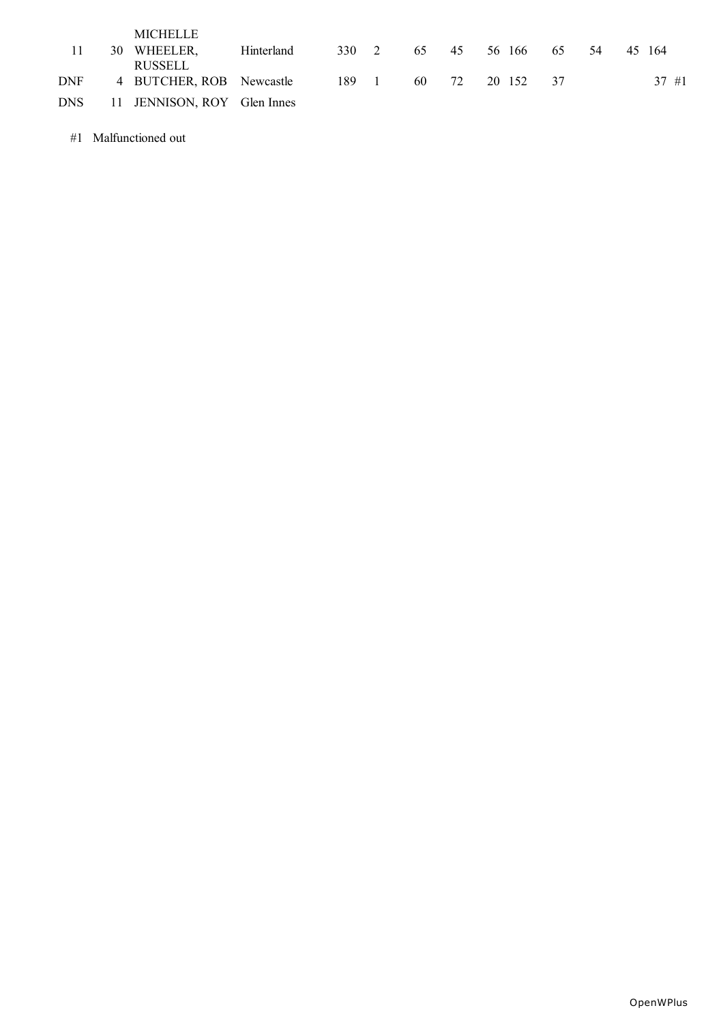|            | <b>MICHELLE</b>             |            |       |          |     |    |        |     |     |        |
|------------|-----------------------------|------------|-------|----------|-----|----|--------|-----|-----|--------|
|            | 30 WHEELER,                 | Hinterland | 330 2 |          | 65  | 45 | 56 166 | 65  | -54 | 45 164 |
|            | <b>RUSSELL</b>              |            |       |          |     |    |        |     |     |        |
| <b>DNF</b> | 4 BUTCHER, ROB Newcastle    |            | 189   | $\sim$ 1 | 60. | 72 | 20 152 | -37 |     | 37#1   |
| DNS        | 11 JENNISON, ROY Glen Innes |            |       |          |     |    |        |     |     |        |

#1 Malfunctioned out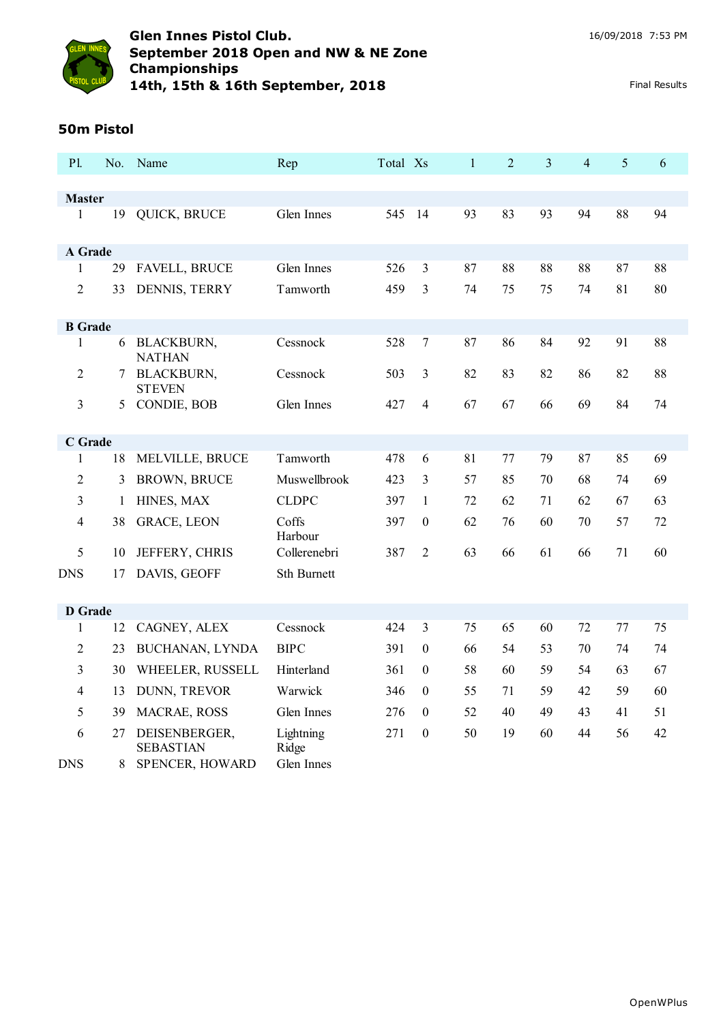

## **50m Pistol**

| P1.             | No.     | Name                                                 | Rep                              | Total Xs |                  | $\mathbf{1}$ | $\overline{2}$ | 3  | $\overline{4}$ | 5  | 6  |
|-----------------|---------|------------------------------------------------------|----------------------------------|----------|------------------|--------------|----------------|----|----------------|----|----|
|                 |         |                                                      |                                  |          |                  |              |                |    |                |    |    |
| <b>Master</b>   |         |                                                      |                                  |          |                  |              |                |    |                |    |    |
| 1               | 19      | QUICK, BRUCE                                         | Glen Innes                       | 545      | 14               | 93           | 83             | 93 | 94             | 88 | 94 |
| A Grade         |         |                                                      |                                  |          |                  |              |                |    |                |    |    |
| $\mathbf{1}$    | 29      | <b>FAVELL, BRUCE</b>                                 | Glen Innes                       | 526      | 3                | 87           | 88             | 88 | 88             | 87 | 88 |
| $\overline{2}$  | 33      | DENNIS, TERRY                                        | Tamworth                         | 459      | 3                | 74           | 75             | 75 | 74             | 81 | 80 |
| <b>B</b> Grade  |         |                                                      |                                  |          |                  |              |                |    |                |    |    |
| $\mathbf{1}$    | 6       | <b>BLACKBURN,</b><br><b>NATHAN</b>                   | Cessnock                         | 528      | $\overline{7}$   | 87           | 86             | 84 | 92             | 91 | 88 |
| $\overline{2}$  | 7       | <b>BLACKBURN,</b><br><b>STEVEN</b>                   | Cessnock                         | 503      | 3                | 82           | 83             | 82 | 86             | 82 | 88 |
| 3               | 5       | CONDIE, BOB                                          | Glen Innes                       | 427      | $\overline{4}$   | 67           | 67             | 66 | 69             | 84 | 74 |
| C Grade         |         |                                                      |                                  |          |                  |              |                |    |                |    |    |
| $\mathbf{1}$    | 18      | MELVILLE, BRUCE                                      | Tamworth                         | 478      | 6                | 81           | 77             | 79 | 87             | 85 | 69 |
| 2               | 3       | <b>BROWN, BRUCE</b>                                  | Muswellbrook                     | 423      | 3                | 57           | 85             | 70 | 68             | 74 | 69 |
| 3               | 1       | HINES, MAX                                           | <b>CLDPC</b>                     | 397      | 1                | 72           | 62             | 71 | 62             | 67 | 63 |
| 4               | 38      | <b>GRACE, LEON</b>                                   | Coffs<br>Harbour                 | 397      | $\boldsymbol{0}$ | 62           | 76             | 60 | 70             | 57 | 72 |
| 5               | 10      | JEFFERY, CHRIS                                       | Collerenebri                     | 387      | $\overline{2}$   | 63           | 66             | 61 | 66             | 71 | 60 |
| <b>DNS</b>      | 17      | DAVIS, GEOFF                                         | Sth Burnett                      |          |                  |              |                |    |                |    |    |
| <b>D</b> Grade  |         |                                                      |                                  |          |                  |              |                |    |                |    |    |
| 1               | 12      | CAGNEY, ALEX                                         | Cessnock                         | 424      | $\overline{3}$   | 75           | 65             | 60 | 72             | 77 | 75 |
| 2               | 23      | BUCHANAN, LYNDA                                      | <b>BIPC</b>                      | 391      | $\boldsymbol{0}$ | 66           | 54             | 53 | 70             | 74 | 74 |
| 3               | 30      | WHEELER, RUSSELL                                     | Hinterland                       | 361      | $\boldsymbol{0}$ | 58           | 60             | 59 | 54             | 63 | 67 |
| 4               | 13      | DUNN, TREVOR                                         | Warwick                          | 346      | $\boldsymbol{0}$ | 55           | 71             | 59 | 42             | 59 | 60 |
| 5               | 39      | MACRAE, ROSS                                         | Glen Innes                       | 276      | $\theta$         | 52           | 40             | 49 | 43             | 41 | 51 |
| 6<br><b>DNS</b> | 27<br>8 | DEISENBERGER,<br><b>SEBASTIAN</b><br>SPENCER, HOWARD | Lightning<br>Ridge<br>Glen Innes | 271      | $\boldsymbol{0}$ | 50           | 19             | 60 | 44             | 56 | 42 |
|                 |         |                                                      |                                  |          |                  |              |                |    |                |    |    |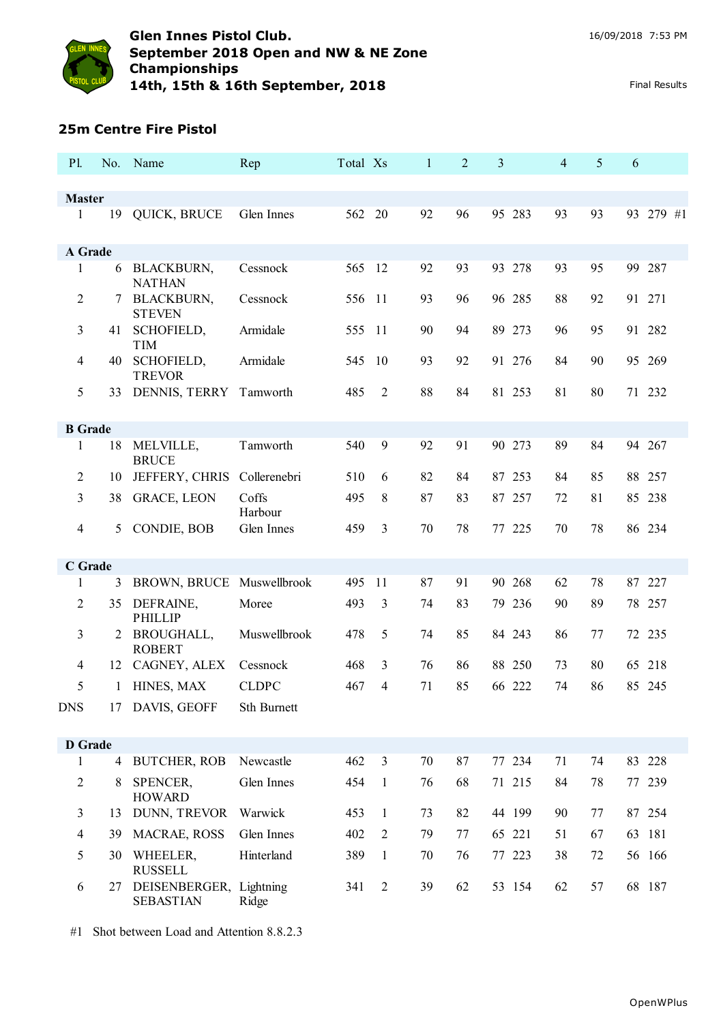

#### **25m Centre Fire Pistol**

| P1.                |                | No. Name                                    | Rep              | Total Xs |                | $\mathbf{1}$ | $\overline{2}$ | 3      | 4  | 5  | 6 |           |
|--------------------|----------------|---------------------------------------------|------------------|----------|----------------|--------------|----------------|--------|----|----|---|-----------|
|                    |                |                                             |                  |          |                |              |                |        |    |    |   |           |
| <b>Master</b><br>1 | 19             |                                             | Glen Innes       | 562      | 20             | 92           | 96             | 95 283 | 93 | 93 |   | 93 279 #1 |
|                    |                | QUICK, BRUCE                                |                  |          |                |              |                |        |    |    |   |           |
| A Grade            |                |                                             |                  |          |                |              |                |        |    |    |   |           |
| 1                  | 6              | <b>BLACKBURN,</b><br><b>NATHAN</b>          | Cessnock         | 565 12   |                | 92           | 93             | 93 278 | 93 | 95 |   | 99 287    |
| 2                  |                | <b>BLACKBURN,</b><br><b>STEVEN</b>          | Cessnock         | 556 11   |                | 93           | 96             | 96 285 | 88 | 92 |   | 91 271    |
| 3                  | 41             | SCHOFIELD,<br><b>TIM</b>                    | Armidale         | 555      | -11            | 90           | 94             | 89 273 | 96 | 95 |   | 91 282    |
| 4                  | 40             | SCHOFIELD,<br><b>TREVOR</b>                 | Armidale         | 545      | 10             | 93           | 92             | 91 276 | 84 | 90 |   | 95 269    |
| 5                  | 33             | DENNIS, TERRY                               | Tamworth         | 485      | 2              | 88           | 84             | 81 253 | 81 | 80 |   | 71 232    |
| <b>B</b> Grade     |                |                                             |                  |          |                |              |                |        |    |    |   |           |
| 1                  | 18             | MELVILLE,<br><b>BRUCE</b>                   | Tamworth         | 540      | 9              | 92           | 91             | 90 273 | 89 | 84 |   | 94 267    |
| $\overline{2}$     | 10             | JEFFERY, CHRIS Collerenebri                 |                  | 510      | 6              | 82           | 84             | 87 253 | 84 | 85 |   | 88 257    |
| 3                  | 38             | <b>GRACE, LEON</b>                          | Coffs<br>Harbour | 495      | 8              | 87           | 83             | 87 257 | 72 | 81 |   | 85 238    |
| 4                  | 5              | CONDIE, BOB                                 | Glen Innes       | 459      | 3              | 70           | 78             | 77 225 | 70 | 78 |   | 86 234    |
| C Grade            |                |                                             |                  |          |                |              |                |        |    |    |   |           |
| 1                  | 3              | BROWN, BRUCE Muswellbrook                   |                  | 495      | 11             | 87           | 91             | 90 268 | 62 | 78 |   | 87 227    |
| $\overline{2}$     | 35             | DEFRAINE,<br><b>PHILLIP</b>                 | Moree            | 493      | 3              | 74           | 83             | 79 236 | 90 | 89 |   | 78 257    |
| 3                  | 2              | BROUGHALL,<br><b>ROBERT</b>                 | Muswellbrook     | 478      | 5              | 74           | 85             | 84 243 | 86 | 77 |   | 72 235    |
| 4                  | 12             | CAGNEY, ALEX                                | Cessnock         | 468      | 3              | 76           | 86             | 88 250 | 73 | 80 |   | 65 218    |
| 5                  | 1              | HINES, MAX                                  | <b>CLDPC</b>     | 467      | 4              | 71           | 85             | 66 222 | 74 | 86 |   | 85 245    |
| <b>DNS</b>         | 17             | DAVIS, GEOFF                                | Sth Burnett      |          |                |              |                |        |    |    |   |           |
| <b>D</b> Grade     |                |                                             |                  |          |                |              |                |        |    |    |   |           |
| 1                  | $\overline{4}$ | <b>BUTCHER, ROB</b>                         | Newcastle        | 462      | $\overline{3}$ | 70           | 87             | 77 234 | 71 | 74 |   | 83 228    |
| 2                  | 8              | SPENCER,<br><b>HOWARD</b>                   | Glen Innes       | 454      | 1              | 76           | 68             | 71 215 | 84 | 78 |   | 77 239    |
| 3                  | 13             | DUNN, TREVOR                                | Warwick          | 453      | 1              | 73           | 82             | 44 199 | 90 | 77 |   | 87 254    |
| 4                  | 39             | MACRAE, ROSS                                | Glen Innes       | 402      | $\overline{2}$ | 79           | 77             | 65 221 | 51 | 67 |   | 63 181    |
| 5                  | 30             | WHEELER,<br><b>RUSSELL</b>                  | Hinterland       | 389      | $\mathbf{1}$   | 70           | 76             | 77 223 | 38 | 72 |   | 56 166    |
| 6                  | 27             | DEISENBERGER, Lightning<br><b>SEBASTIAN</b> | Ridge            | 341      | 2              | 39           | 62             | 53 154 | 62 | 57 |   | 68 187    |

#1 Shot between Load and Attention 8.8.2.3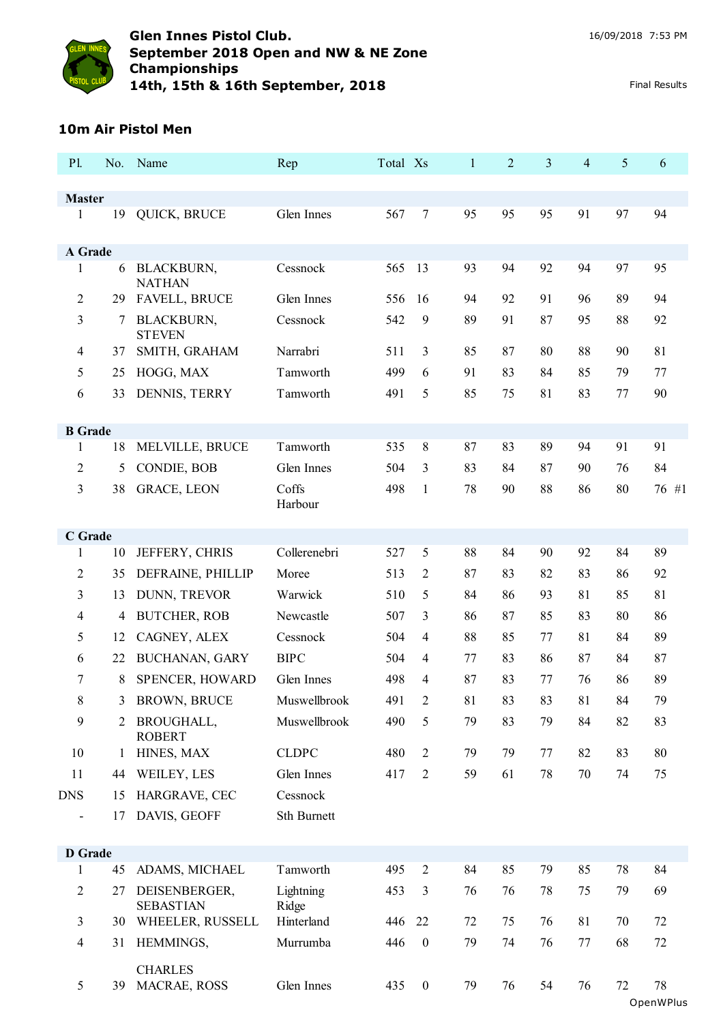

#### **10m Air Pistol Men**

| P1.            |    | No. Name                           | Rep                | Total Xs |                  | $\mathbf{1}$ | $\overline{2}$ | 3  | 4       | 5  | 6               |
|----------------|----|------------------------------------|--------------------|----------|------------------|--------------|----------------|----|---------|----|-----------------|
| <b>Master</b>  |    |                                    |                    |          |                  |              |                |    |         |    |                 |
| $\mathbf{1}$   | 19 | QUICK, BRUCE                       | Glen Innes         | 567      | 7                | 95           | 95             | 95 | 91      | 97 | 94              |
|                |    |                                    |                    |          |                  |              |                |    |         |    |                 |
| A Grade        |    |                                    |                    |          |                  |              |                |    |         |    |                 |
| 1              | 6  | <b>BLACKBURN,</b><br><b>NATHAN</b> | Cessnock           | 565      | 13               | 93           | 94             | 92 | 94      | 97 | 95              |
| 2              | 29 | <b>FAVELL, BRUCE</b>               | Glen Innes         | 556      | 16               | 94           | 92             | 91 | 96      | 89 | 94              |
| 3              | 7  | <b>BLACKBURN,</b><br><b>STEVEN</b> | Cessnock           | 542      | 9                | 89           | 91             | 87 | 95      | 88 | 92              |
| 4              | 37 | SMITH, GRAHAM                      | Narrabri           | 511      | 3                | 85           | 87             | 80 | 88      | 90 | 81              |
| 5              | 25 | HOGG, MAX                          | Tamworth           | 499      | 6                | 91           | 83             | 84 | 85      | 79 | 77              |
| 6              | 33 | DENNIS, TERRY                      | Tamworth           | 491      | 5                | 85           | 75             | 81 | 83      | 77 | 90              |
| <b>B</b> Grade |    |                                    |                    |          |                  |              |                |    |         |    |                 |
| 1              | 18 | MELVILLE, BRUCE                    | Tamworth           | 535      | 8                | 87           | 83             | 89 | 94      | 91 | 91              |
| 2              | 5  | CONDIE, BOB                        | Glen Innes         | 504      | 3                | 83           | 84             | 87 | 90      | 76 | 84              |
| 3              | 38 | <b>GRACE, LEON</b>                 | Coffs<br>Harbour   | 498      | $\mathbf{1}$     | 78           | 90             | 88 | 86      | 80 | 76 #1           |
| C Grade        |    |                                    |                    |          |                  |              |                |    |         |    |                 |
| 1              | 10 | JEFFERY, CHRIS                     | Collerenebri       | 527      | 5                | 88           | 84             | 90 | 92      | 84 | 89              |
| 2              | 35 | DEFRAINE, PHILLIP                  | Moree              | 513      | 2                | 87           | 83             | 82 | 83      | 86 | 92              |
| 3              | 13 | DUNN, TREVOR                       | Warwick            | 510      | 5                | 84           | 86             | 93 | 81      | 85 | 81              |
| 4              | 4  | <b>BUTCHER, ROB</b>                | Newcastle          | 507      | 3                | 86           | 87             | 85 | 83      | 80 | 86              |
| 5              | 12 | CAGNEY, ALEX                       | Cessnock           | 504      | 4                | 88           | 85             | 77 | 81      | 84 | 89              |
| 6              | 22 | BUCHANAN, GARY                     | <b>BIPC</b>        | 504      | 4                | 77           | 83             | 86 | 87      | 84 | 87              |
| 7              | 8  | SPENCER, HOWARD                    | Glen Innes         | 498      | 4                | 87           | 83             | 77 | 76      | 86 | 89              |
| 8              | 3  | <b>BROWN, BRUCE</b>                | Muswellbrook       | 491      | 2                | 81           | 83             | 83 | 81      | 84 | 79              |
| 9              | 2  | <b>BROUGHALL,</b><br><b>ROBERT</b> | Muswellbrook       | 490      | 5                | 79           | 83             | 79 | 84      | 82 | 83              |
| 10             | 1  | HINES, MAX                         | <b>CLDPC</b>       | 480      | $\overline{2}$   | 79           | 79             | 77 | 82      | 83 | 80              |
| 11             | 44 | WEILEY, LES                        | Glen Innes         | 417      | $\overline{2}$   | 59           | 61             | 78 | 70      | 74 | 75              |
| <b>DNS</b>     | 15 | HARGRAVE, CEC                      | Cessnock           |          |                  |              |                |    |         |    |                 |
|                | 17 | DAVIS, GEOFF                       | Sth Burnett        |          |                  |              |                |    |         |    |                 |
| <b>D</b> Grade |    |                                    |                    |          |                  |              |                |    |         |    |                 |
| 1              | 45 | ADAMS, MICHAEL                     | Tamworth           | 495      | $\overline{2}$   | 84           | 85             | 79 | 85      | 78 | 84              |
| $\overline{2}$ | 27 | DEISENBERGER,<br><b>SEBASTIAN</b>  | Lightning<br>Ridge | 453      | 3                | 76           | 76             | 78 | 75      | 79 | 69              |
| 3              | 30 | WHEELER, RUSSELL                   | Hinterland         | 446      | 22               | 72           | 75             | 76 | 81      | 70 | 72              |
| 4              | 31 | HEMMINGS,                          | Murrumba           | 446      | $\boldsymbol{0}$ | 79           | 74             | 76 | $77 \,$ | 68 | 72              |
| 5              | 39 | <b>CHARLES</b><br>MACRAE, ROSS     | Glen Innes         | 435      | $\boldsymbol{0}$ | 79           | 76             | 54 | 76      | 72 | 78<br>OpenWPlus |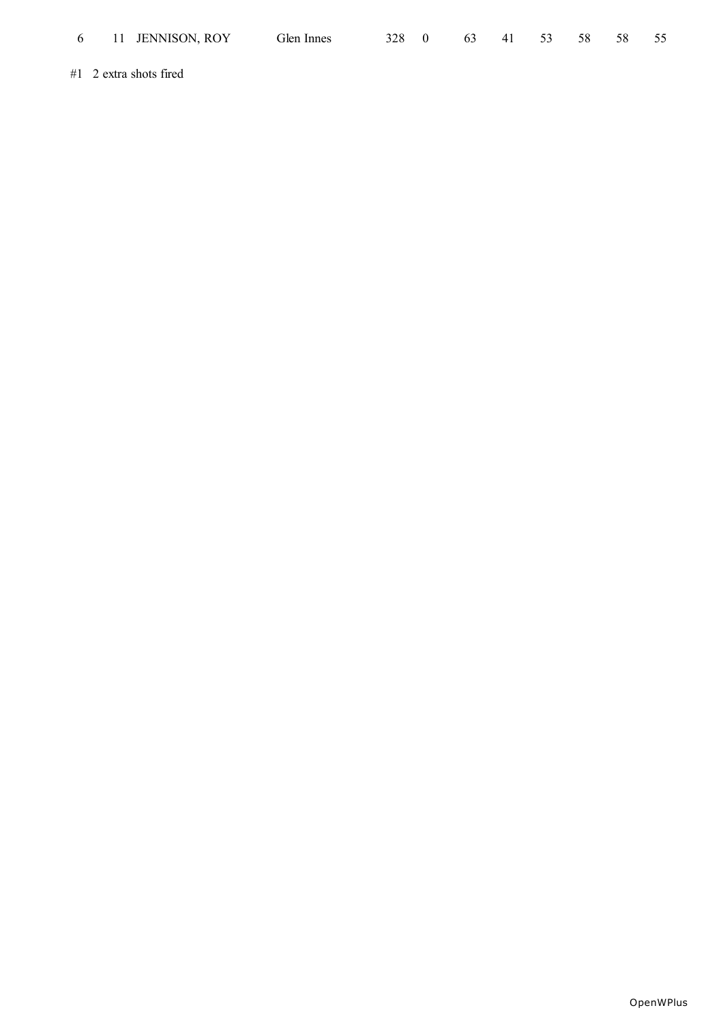| 6 11 JENNISON, ROY       | Glen Innes | 328 0 |  | 63 41 53 58 | - 58 | 55 |
|--------------------------|------------|-------|--|-------------|------|----|
| $#1$ 2 extra shots fired |            |       |  |             |      |    |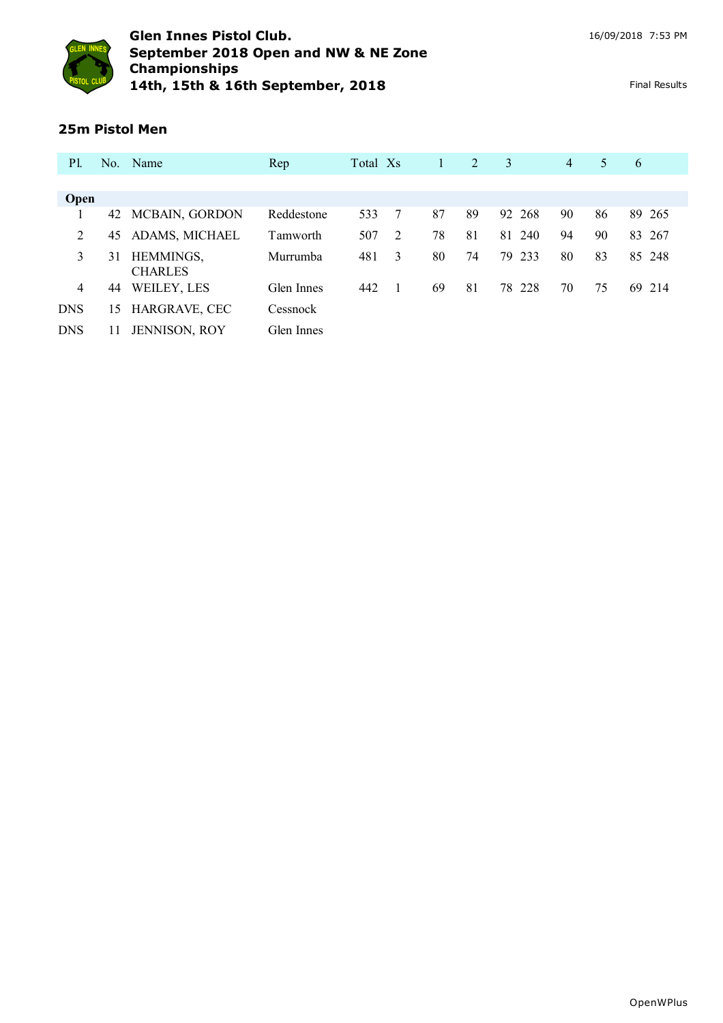

## **25m Pistol Men**

| <b>P</b> l.    |    | No. Name                    | Rep        | Total Xs |   |    | 2  | 3      | $\overline{4}$ | 5  | 6           |
|----------------|----|-----------------------------|------------|----------|---|----|----|--------|----------------|----|-------------|
|                |    |                             |            |          |   |    |    |        |                |    |             |
| Open           |    |                             |            |          |   |    |    |        |                |    |             |
|                | 42 | MCBAIN, GORDON              | Reddestone | 533      | 7 | 87 | 89 | 92 268 | 90             | 86 | 89 265      |
| 2              | 45 | ADAMS, MICHAEL              | Tamworth   | 507      | 2 | 78 | 81 | 81 240 | 94             | 90 | - 267<br>83 |
| 3              | 31 | HEMMINGS,<br><b>CHARLES</b> | Murrumba   | 481      | 3 | 80 | 74 | 79 233 | 80             | 83 | 85 248      |
| $\overline{4}$ | 44 | WEILEY, LES                 | Glen Innes | 442      |   | 69 | 81 | 78 228 | 70             | 75 | 69<br>214   |
| <b>DNS</b>     | 15 | HARGRAVE, CEC               | Cessnock   |          |   |    |    |        |                |    |             |
| <b>DNS</b>     |    | <b>JENNISON, ROY</b>        | Glen Innes |          |   |    |    |        |                |    |             |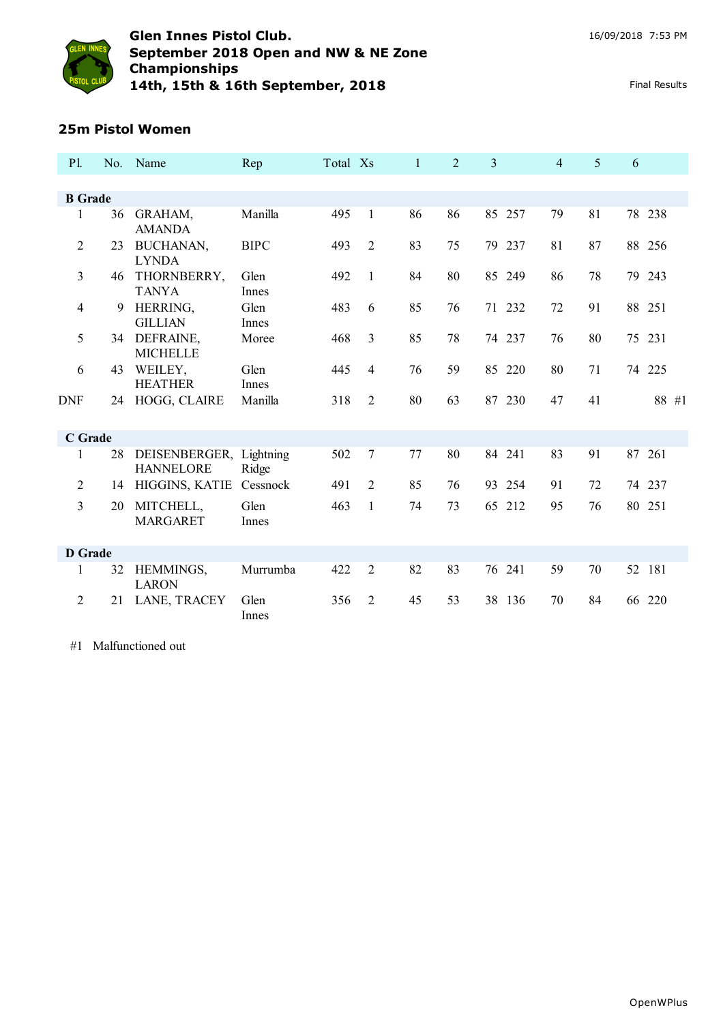

#### **25m Pistol Women**

| <b>P1.</b>     |    | No. Name                                    | Rep           | Total Xs |                | $\mathbf{1}$ | 2  | 3         | 4  | 5  | 6      |        |
|----------------|----|---------------------------------------------|---------------|----------|----------------|--------------|----|-----------|----|----|--------|--------|
|                |    |                                             |               |          |                |              |    |           |    |    |        |        |
| <b>B</b> Grade |    |                                             |               |          |                |              |    |           |    |    |        |        |
| 1              | 36 | GRAHAM,<br><b>AMANDA</b>                    | Manilla       | 495      | 1              | 86           | 86 | 85 257    | 79 | 81 |        | 78 238 |
| $\overline{2}$ | 23 | BUCHANAN,<br><b>LYNDA</b>                   | <b>BIPC</b>   | 493      | $\overline{2}$ | 83           | 75 | 79 237    | 81 | 87 |        | 88 256 |
| 3              | 46 | THORNBERRY,<br><b>TANYA</b>                 | Glen<br>Innes | 492      | 1              | 84           | 80 | 85 249    | 86 | 78 |        | 79 243 |
| $\overline{4}$ | 9  | HERRING,<br><b>GILLIAN</b>                  | Glen<br>Innes | 483      | 6              | 85           | 76 | 71 232    | 72 | 91 | 88 251 |        |
| 5              | 34 | DEFRAINE,<br><b>MICHELLE</b>                | Moree         | 468      | 3              | 85           | 78 | 74 237    | 76 | 80 | 75 231 |        |
| 6              | 43 | WEILEY,<br><b>HEATHER</b>                   | Glen<br>Innes | 445      | 4              | 76           | 59 | 85 220    | 80 | 71 |        | 74 225 |
| <b>DNF</b>     | 24 | HOGG, CLAIRE                                | Manilla       | 318      | $\overline{2}$ | 80           | 63 | 87 230    | 47 | 41 |        | 88 #1  |
| <b>C</b> Grade |    |                                             |               |          |                |              |    |           |    |    |        |        |
| 1              | 28 | DEISENBERGER, Lightning<br><b>HANNELORE</b> | Ridge         | 502      | $\tau$         | 77           | 80 | 84 241    | 83 | 91 | 87 261 |        |
| 2              | 14 | HIGGINS, KATIE                              | Cessnock      | 491      | $\overline{2}$ | 85           | 76 | 93 254    | 91 | 72 |        | 74 237 |
| 3              | 20 | MITCHELL,<br><b>MARGARET</b>                | Glen<br>Innes | 463      | 1              | 74           | 73 | 212<br>65 | 95 | 76 | 80 251 |        |
| <b>D</b> Grade |    |                                             |               |          |                |              |    |           |    |    |        |        |
| 1              | 32 | HEMMINGS,<br><b>LARON</b>                   | Murrumba      | 422      | $\overline{2}$ | 82           | 83 | 76<br>241 | 59 | 70 | 52 181 |        |
| 2              | 21 | LANE, TRACEY                                | Glen<br>Innes | 356      | $\overline{2}$ | 45           | 53 | 38 136    | 70 | 84 | 66 220 |        |

#1 Malfunctioned out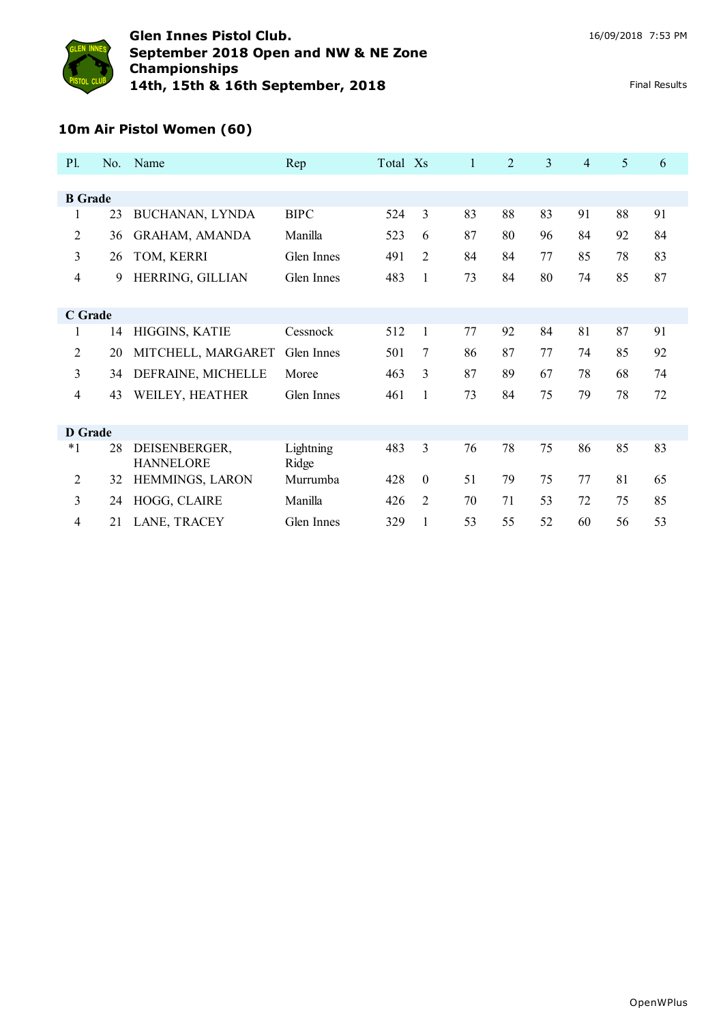

# **10m Air Pistol Women (60)**

| <b>P1.</b>     | No. | <b>Name</b>                       | Rep                | Total Xs |                | 1  | $\overline{2}$ | 3  | $\overline{4}$ | 5  | 6  |
|----------------|-----|-----------------------------------|--------------------|----------|----------------|----|----------------|----|----------------|----|----|
|                |     |                                   |                    |          |                |    |                |    |                |    |    |
| <b>B</b> Grade |     |                                   |                    |          |                |    |                |    |                |    |    |
| $\mathbf{1}$   | 23  | BUCHANAN, LYNDA                   | <b>BIPC</b>        | 524      | 3              | 83 | 88             | 83 | 91             | 88 | 91 |
| 2              | 36  | <b>GRAHAM, AMANDA</b>             | Manilla            | 523      | 6              | 87 | 80             | 96 | 84             | 92 | 84 |
| 3              | 26  | TOM, KERRI                        | Glen Innes         | 491      | $\overline{2}$ | 84 | 84             | 77 | 85             | 78 | 83 |
| 4              | 9   | HERRING, GILLIAN                  | Glen Innes         | 483      | 1              | 73 | 84             | 80 | 74             | 85 | 87 |
|                |     |                                   |                    |          |                |    |                |    |                |    |    |
| C Grade        |     |                                   |                    |          |                |    |                |    |                |    |    |
| 1              | 14  | HIGGINS, KATIE                    | Cessnock           | 512      | $\mathbf{1}$   | 77 | 92             | 84 | 81             | 87 | 91 |
| $\overline{2}$ | 20  | MITCHELL, MARGARET                | Glen Innes         | 501      | 7              | 86 | 87             | 77 | 74             | 85 | 92 |
| 3              | 34  | DEFRAINE, MICHELLE                | Moree              | 463      | 3              | 87 | 89             | 67 | 78             | 68 | 74 |
| 4              | 43  | WEILEY, HEATHER                   | Glen Innes         | 461      | 1              | 73 | 84             | 75 | 79             | 78 | 72 |
|                |     |                                   |                    |          |                |    |                |    |                |    |    |
| <b>D</b> Grade |     |                                   |                    |          |                |    |                |    |                |    |    |
| $*1$           | 28  | DEISENBERGER,<br><b>HANNELORE</b> | Lightning<br>Ridge | 483      | 3              | 76 | 78             | 75 | 86             | 85 | 83 |
| $\overline{c}$ | 32  | HEMMINGS, LARON                   | Murrumba           | 428      | $\Omega$       | 51 | 79             | 75 | 77             | 81 | 65 |
| 3              | 24  | HOGG, CLAIRE                      | Manilla            | 426      | $\overline{2}$ | 70 | 71             | 53 | 72             | 75 | 85 |
| 4              | 21  | LANE, TRACEY                      | Glen Innes         | 329      | $\mathbf{1}$   | 53 | 55             | 52 | 60             | 56 | 53 |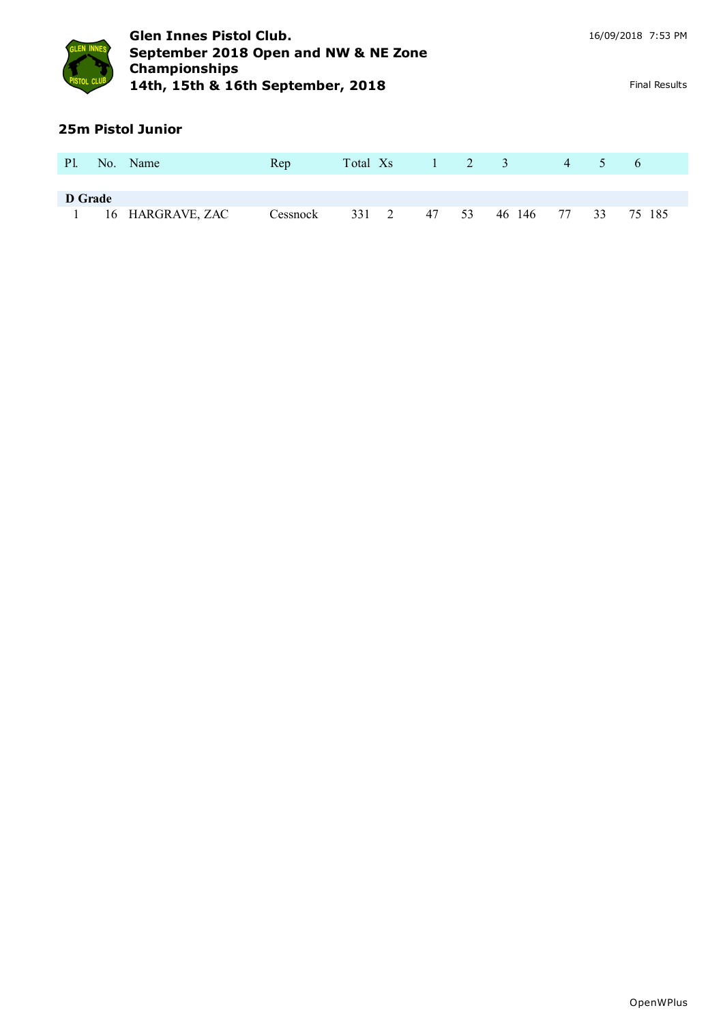

## **25m Pistol Junior**

| <b>Pl.</b>     | No. Name         | Rep      | Total X <sub>s</sub> |    | $1 \quad 2 \quad 3$ |        | $4 \cdot$   | $\mathcal{L}$ | $\sigma$ |
|----------------|------------------|----------|----------------------|----|---------------------|--------|-------------|---------------|----------|
|                |                  |          |                      |    |                     |        |             |               |          |
| <b>D</b> Grade |                  |          |                      |    |                     |        |             |               |          |
|                | 16 HARGRAVE, ZAC | Cessnock | 331 2                | 47 | 53                  | 46 146 | $-1$ 77 $-$ | 33            | 75 185   |